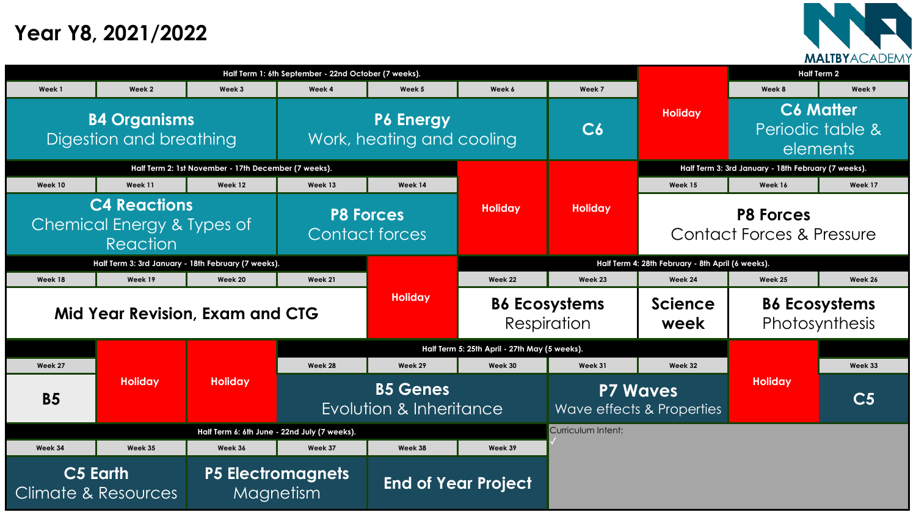|                                                |                                                               |                                                      | Half Term 1: 6th September - 22nd October (7 weeks). |                                               |                                     |                                                  |                                                   | <b>Half Term 2</b>                                  |               |
|------------------------------------------------|---------------------------------------------------------------|------------------------------------------------------|------------------------------------------------------|-----------------------------------------------|-------------------------------------|--------------------------------------------------|---------------------------------------------------|-----------------------------------------------------|---------------|
| Week 1                                         | Week 2                                                        | Week 3                                               | Week 4                                               | Week 5                                        | Week 6                              | Week 7                                           |                                                   | Week 8                                              | Week 9        |
| <b>B4 Organisms</b><br>Digestion and breathing |                                                               | <b>P6 Energy</b><br>Work, heating and cooling        |                                                      | C6                                            | <b>Holiday</b>                      | <b>C6 Matter</b><br>Periodic table 8<br>elements |                                                   |                                                     |               |
|                                                |                                                               | Half Term 2: 1st November - 17th December (7 weeks). |                                                      |                                               |                                     |                                                  |                                                   | Half Term 3: 3rd January - 18th February (7 weeks). |               |
| Week 10                                        | Week 11                                                       | Week 12                                              | Week 13                                              | Week 14                                       |                                     |                                                  | Week 15                                           | Week 16                                             | Week 17       |
|                                                | <b>C4 Reactions</b><br>Chemical Energy & Types of<br>Reaction |                                                      |                                                      | <b>P8 Forces</b><br>Contact forces            | <b>Holiday</b>                      | <b>Holiday</b>                                   |                                                   | <b>P8 Forces</b><br>Contact Forces & Pressure       |               |
|                                                | Half Term 3: 3rd January - 18th February (7 weeks).           |                                                      |                                                      |                                               |                                     |                                                  | Half Term 4: 28th February - 8th April (6 weeks). |                                                     |               |
| Week 18                                        | Week 19                                                       | Week 20                                              | Week 21                                              |                                               | Week 22                             | Week 23                                          | Week 24                                           | Week 25                                             | Week 26       |
| <b>Mid Year Revision, Exam and CTG</b>         |                                                               |                                                      | <b>Holiday</b>                                       |                                               | <b>B6 Ecosystems</b><br>Respiration |                                                  | Science<br>week                                   | <b>B6 Ecosystems</b><br>Photosynthesis              |               |
|                                                |                                                               |                                                      |                                                      | Half Term 5: 25th April - 27th May (5 weeks). |                                     |                                                  |                                                   |                                                     |               |
| Week 27                                        |                                                               |                                                      | Week 28                                              | Week 29                                       | Week 30                             | Week 31                                          | Week 32                                           |                                                     | Week 33       |
| <b>B5</b>                                      | <b>Holiday</b>                                                | <b>Holiday</b>                                       | <b>B5 Genes</b><br>Evolution & Inheritance           |                                               |                                     | <b>P7 Waves</b><br>Wave effects & Properties     |                                                   | <b>Holiday</b>                                      | $\mathbf{C5}$ |
|                                                |                                                               | Half Term 6: 6th June - 22nd July (7 weeks).         |                                                      |                                               |                                     | Curriculum Intent:                               |                                                   |                                                     |               |
| Week 34                                        | Week 35                                                       | Week 36                                              | Week 37                                              | Week 38                                       | Week 39                             |                                                  |                                                   |                                                     |               |
| C5 Earth<br>mate & Resources                   |                                                               |                                                      | P5 Electromagnets<br>Magnetism                       |                                               | <b>End of Year Project</b>          |                                                  |                                                   |                                                     |               |

|                                                               |                                                |                                                      | Half Term 1: 6th September - 22nd October (7 weeks). |                                           |                                               |                    |
|---------------------------------------------------------------|------------------------------------------------|------------------------------------------------------|------------------------------------------------------|-------------------------------------------|-----------------------------------------------|--------------------|
| <b>Week1</b>                                                  | Week 2                                         | Week 3                                               | Week 4                                               | Week 5                                    | Week 6                                        | Week 7             |
|                                                               | <b>B4 Organisms</b><br>Digestion and breathing |                                                      | <b>P6 Energy</b><br>Work, heating and cooling        |                                           |                                               | C6                 |
|                                                               |                                                | Half Term 2: 1st November - 17th December (7 weeks). |                                                      |                                           |                                               |                    |
| Week 10                                                       | Week 11                                        | Week 12                                              | Week 13                                              | Week 14                                   |                                               |                    |
| <b>C4 Reactions</b><br>Chemical Energy & Types of<br>Reaction |                                                |                                                      |                                                      | <b>P8 Forces</b><br><b>Contact forces</b> | <b>Holiday</b>                                | <b>Holiday</b>     |
|                                                               |                                                | Half Term 3: 3rd January - 18th February (7 weeks).  |                                                      |                                           |                                               | <b>Half Ter</b>    |
| Week 18                                                       | Week 19                                        | Week 20                                              | Week 21                                              |                                           | Week 22                                       | Week 23            |
|                                                               |                                                | <b>Mid Year Revision, Exam and CTG</b>               | <b>Holiday</b>                                       |                                           | <b>B6 Ecosystems</b><br>Respiration           |                    |
|                                                               |                                                | <b>Holiday</b>                                       |                                                      |                                           | Half Term 5: 25th April - 27th May (5 weeks). |                    |
| Week 27                                                       | <b>Holiday</b>                                 |                                                      | Week 28                                              | Week 29                                   | Week 30                                       | Week 31            |
| <b>B5</b>                                                     |                                                |                                                      | <b>B5 Genes</b><br>Evolution & Inheritance           |                                           |                                               | P7<br>Wave effe    |
|                                                               |                                                |                                                      | Half Term 6: 6th June - 22nd July (7 weeks).         |                                           |                                               | Curriculum Intent: |
| Week 34                                                       | Week 35                                        | Week 36                                              | Week 37                                              | Week 38                                   | Week 39                                       |                    |
| Climate & Resources                                           | C5 Earth                                       |                                                      | <b>P5 Electromagnets</b><br>Magnetism                | <b>End of Year Project</b>                |                                               |                    |



## **Year Y8, 2021/2022**